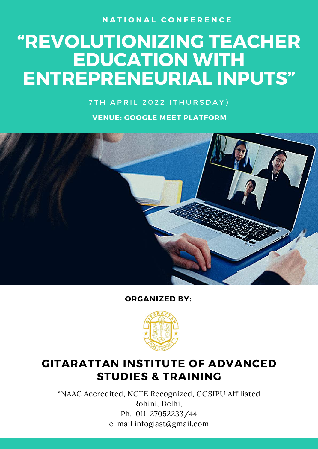### **N A T I O N A L C O N F E R E N C E**

# **"REVOLUTIONIZING TEACHER EDUCATION WITH ENTREPRENEURIAL INPUTS"**

7 TH A P R I L 2022 ( T H U R S D A Y )

**VENUE: GOOGLE MEET PLATFORM**



#### **ORGANIZED BY:**



### **GITARATTAN INSTITUTE OF ADVANCED STUDIES & TRAINING**

"NAAC Accredited, NCTE Recognized, GGSIPU Affiliated Rohini, Delhi, Ph.-011-27052233/44 e-mail [infogiast@gmail.com](mailto:infogiast@gmail.com)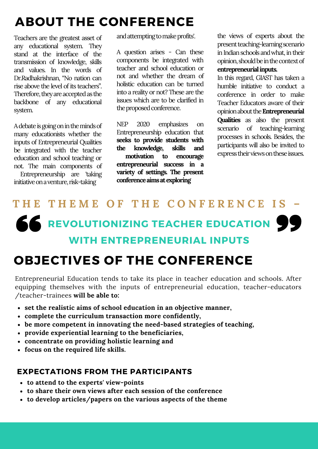# **ABOUT THE CONFERENCE**

Teachers are the greatest asset of any educational system. They stand at the interface of the transmission of knowledge, skills and values. In the words of Dr.Radhakrishnan, "No nation can rise above the level of its teachers". Therefore, they are accepted as the backbone of any educational system.

A debate is going on in the minds of many educationists whether the inputs of Entrepreneurial Qualities be integrated with the teacher education and school teaching or not. The main components of

Entrepreneurship are 'taking initiative on a venture, risk-taking

and attempting to make profits'.

A question arises - Can these components be integrated with teacher and school education or not and whether the dream of holistic education can be turned into a reality or not? These are the issues which are to be clarified in the proposed conference.

NEP 2020 emphasizes on Entrepreneurship education that **seeks to provide students with the knowledge, skills and motivation to encourage entrepreneurial success in a variety of settings. The present conferenceaimsatexploring**

the views of experts about the present teaching-learning scenario in Indian schools and what, in their opinion, should be in the context of **entrepreneurialinputs.**

In this regard, GIAST has taken a humble initiative to conduct a conference in order to make Teacher Educators aware of their opinionaboutthe**Entrepreneurial Qualities** as also the present scenario of teaching-learning processes in schools. Besides, the participants will also be invited to express their views on these issues.

# **REVOLUTIONIZING TEACHER EDUCATION WITH ENTREPRENEURIAL INPUTS** THE THEME OF THE CONFERENCE IS -

# **OBJECTIVES OF THE CONFERENCE**

Entrepreneurial Education tends to take its place in teacher education and schools. After equipping themselves with the inputs of entrepreneurial education, teacher-educators /teacher-trainees **will be able to:**

- **set the realistic aims of school education in an objective manner,**
- **complete the curriculum transaction more confidently,**
- **be more competent in innovating the need-based strategies of teaching,**
- **provide experiential learning to the beneficiaries,**
- **concentrate on providing holistic learning and**
- **focus on the required life skills.**

#### **EXPECTATIONS FROM THE PARTICIPANTS**

- **to attend to the experts' view-points**
- **to share their own views after each session of the conference**
- **to develop articles/papers on the various aspects of the theme**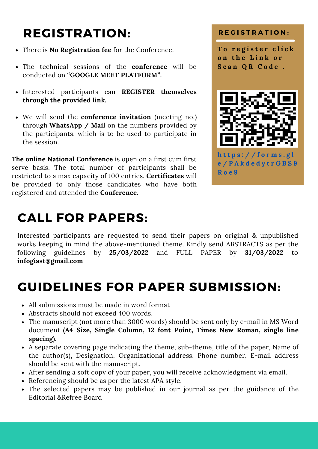# **REGISTRATION:**

- There is **No Registration fee** for the Conference.
- The technical sessions of the **conference** will be conducted on **"GOOGLE MEET PLATFORM".**
- Interested participants can **REGISTER themselves through the provided link.**
- We will send the **conference invitation** (meeting no.) through **WhatsApp / Mail** on the numbers provided by the participants, which is to be used to participate in the session.

**The online National Conference** is open on a first cum first serve basis. The total number of participants shall be restricted to a max capacity of 100 entries. **Certificates** will be provided to only those candidates who have both registered and attended the **Conference.**

#### **R E G I S T R A T I O N :**

**T o r e g i s t e r c l i c k o n t h e L i n k o r S c a n Q R C o d e .**



**R o e 9**

### **CALL FOR PAPERS:**

Interested participants are requested to send their papers on original & unpublished works keeping in mind the above-mentioned theme. Kindly send ABSTRACTS as per the following guidelines by **25/03/2022** and FULL PAPER by **31/03/2022** to **[infogiast@gmail.com](mailto:infogiast@gmail.com)**

### **GUIDELINES FOR PAPER SUBMISSION:**

- All submissions must be made in word format
- Abstracts should not exceed 400 words.
- The manuscript (not more than 3000 words) should be sent only by e-mail in MS Word document **(A4 Size, Single Column, 12 font Point, Times New Roman, single line spacing).**
- A separate covering page indicating the theme, sub-theme, title of the paper, Name of the author(s), Designation, Organizational address, Phone number, E-mail address should be sent with the manuscript.
- After sending a soft copy of your paper, you will receive acknowledgment via email.
- Referencing should be as per the latest APA style.
- The selected papers may be published in our journal as per the guidance of the Editorial &Refree Board